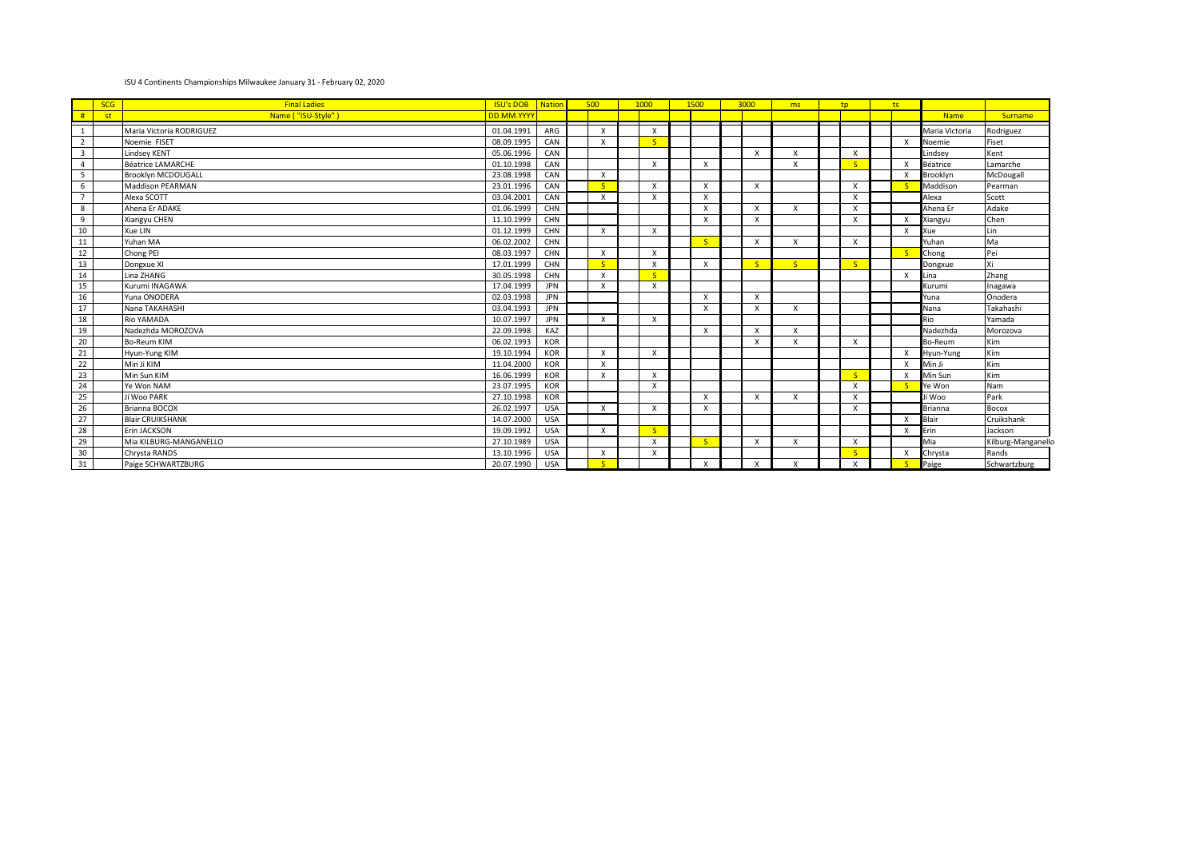ISU 4 Continents Championships Milwaukee January 31 - February 02, 2020

| <b>SCG</b>      | <b>Final Ladies</b>       | <b>ISU's DOB</b> | Nation     | 500                       | 1000                      | 1500 |                    | 3000 |              | ms                        | tp                        | ts                        |                |                    |
|-----------------|---------------------------|------------------|------------|---------------------------|---------------------------|------|--------------------|------|--------------|---------------------------|---------------------------|---------------------------|----------------|--------------------|
| st<br>#         | Name ("ISU-Style")        | DD.MM.YYYY       |            |                           |                           |      |                    |      |              |                           |                           |                           | <b>Name</b>    | Surname            |
| 1               | Maria Victoria RODRIGUEZ  | 01.04.1991       | ARG        | $\mathsf{X}$              | $\mathsf{X}$              |      |                    |      |              |                           |                           |                           | Maria Victoria | Rodriguez          |
| $\overline{2}$  | Noemie FISET              | 08.09.1995       | CAN        | $\boldsymbol{\mathsf{X}}$ | $\mathsf{S}$              |      |                    |      |              |                           |                           | $\mathsf{X}$              | Noemie         | Fiset              |
| $\overline{3}$  | Lindsey KENT              | 05.06.1996       | CAN        |                           |                           |      |                    |      | $\mathsf{X}$ | $\boldsymbol{\mathsf{X}}$ | $\boldsymbol{\mathsf{X}}$ |                           | Lindsey        | Kent               |
| $\overline{4}$  | <b>Béatrice LAMARCHE</b>  | 01.10.1998       | CAN        |                           | $\mathsf{X}$              |      | $\mathsf{X}$       |      |              | $\mathsf{X}$              | $\mathcal{S}$             | $\mathsf{X}$              | Béatrice       | Lamarche           |
| $5\overline{)}$ | <b>Brooklyn MCDOUGALL</b> | 23.08.1998       | CAN        | $\boldsymbol{\mathsf{X}}$ |                           |      |                    |      |              |                           |                           | X                         | Brooklyn       | McDougall          |
| 6               | Maddison PEARMAN          | 23.01.1996       | CAN        | $\mathsf{S}$              | $\boldsymbol{\mathsf{X}}$ |      | $\pmb{\mathsf{X}}$ |      | $\mathsf{X}$ |                           | $\boldsymbol{\mathsf{X}}$ |                           | Maddison       | Pearman            |
| $\overline{7}$  | Alexa SCOTT               | 03.04.2001       | CAN        | $\boldsymbol{\mathsf{X}}$ | $\boldsymbol{\mathsf{X}}$ |      | $\mathsf{X}$       |      |              |                           | $\boldsymbol{\mathsf{X}}$ |                           | Alexa          | Scott              |
| 8               | Ahena Er ADAKE            | 01.06.1999       | <b>CHN</b> |                           |                           |      | $\mathsf{X}$       |      | $\mathsf{X}$ | X                         | $\boldsymbol{\mathsf{X}}$ |                           | Ahena Er       | Adake              |
| 9               | Xiangyu CHEN              | 11.10.1999       | <b>CHN</b> |                           |                           |      | $\mathsf{X}$       |      | $\mathsf{X}$ |                           | $\boldsymbol{\mathsf{X}}$ | $\mathsf{X}$              | Xiangyu        | Chen               |
| 10              | Xue LIN                   | 01.12.1999       | <b>CHN</b> | $\mathsf{X}$              | $\mathsf{X}$              |      |                    |      |              |                           |                           | $\boldsymbol{\mathsf{X}}$ | Xue            | Lin                |
| 11              | Yuhan MA                  | 06.02.2002       | <b>CHN</b> |                           |                           |      | $\mathsf{S}$       |      | $\mathsf{X}$ | X                         | $\boldsymbol{\mathsf{X}}$ |                           | Yuhan          | Ma                 |
| 12              | Chong PEI                 | 08.03.1997       | <b>CHN</b> | $\mathsf{X}$              | $\mathsf{X}$              |      |                    |      |              |                           |                           |                           | Chong          | Pei                |
| 13              | Dongxue XI                | 17.01.1999       | <b>CHN</b> | S                         | $\mathsf{X}$              |      | $\mathsf{X}$       |      | S            | S                         | $\mathcal{S}$             |                           | Dongxue        | Xi                 |
| 14              | Lina ZHANG                | 30.05.1998       | <b>CHN</b> | $\boldsymbol{\mathsf{X}}$ | $\mathsf{S}$              |      |                    |      |              |                           |                           | $\mathsf{X}$              | Lina           | Zhang              |
| 15              | Kurumi INAGAWA            | 17.04.1999       | <b>JPN</b> | $\mathsf{X}$              | $\mathsf{X}$              |      |                    |      |              |                           |                           |                           | Kurumi         | Inagawa            |
| 16              | Yuna ONODERA              | 02.03.1998       | <b>JPN</b> |                           |                           |      | $\mathsf{X}$       |      | $\mathsf{X}$ |                           |                           |                           | Yuna           | Onodera            |
| 17              | Nana TAKAHASHI            | 03.04.1993       | <b>JPN</b> |                           |                           |      | $\mathsf{X}$       |      | $\mathsf{X}$ | $\boldsymbol{X}$          |                           |                           | Nana           | Takahashi          |
| 18              | <b>Rio YAMADA</b>         | 10.07.1997       | <b>JPN</b> | $\boldsymbol{\mathsf{X}}$ | $\boldsymbol{\mathsf{X}}$ |      |                    |      |              |                           |                           |                           | Rio            | Yamada             |
| $19\,$          | Nadezhda MOROZOVA         | 22.09.1998       | KAZ        |                           |                           |      | $\mathsf{X}$       |      | $\mathsf{X}$ | $\mathsf{X}$              |                           |                           | Nadezhda       | Morozova           |
| $20\,$          | Bo-Reum KIM               | 06.02.1993       | KOR        |                           |                           |      |                    |      | $\mathsf{X}$ | $\boldsymbol{\mathsf{X}}$ | $\boldsymbol{\mathsf{X}}$ |                           | Bo-Reum        | Kim                |
| 21              | Hyun-Yung KIM             | 19.10.1994       | <b>KOR</b> | $\mathsf{X}$              | $\mathsf{X}$              |      |                    |      |              |                           |                           | $\mathsf{x}$              | Hyun-Yung      | Kim                |
| $22\,$          | Min Ji KIM                | 11.04.2000       | <b>KOR</b> | $\boldsymbol{\mathsf{X}}$ |                           |      |                    |      |              |                           |                           | X                         | Min Ji         | Kim                |
| 23              | Min Sun KIM               | 16.06.1999       | <b>KOR</b> | $\mathsf{X}$              | $\mathsf{X}$              |      |                    |      |              |                           | $\overline{\mathsf{S}}$   | $\mathsf{X}$              | Min Sun        | Kim                |
| 24              | Ye Won NAM                | 23.07.1995       | <b>KOR</b> |                           | $\boldsymbol{\mathsf{X}}$ |      |                    |      |              |                           | $\boldsymbol{\mathsf{X}}$ | $\overline{\mathsf{S}}$   | Ye Won         | Nam                |
| 25              | Ji Woo PARK               | 27.10.1998       | <b>KOR</b> |                           |                           |      | $\mathsf{X}$       |      | $\mathsf{X}$ | $\mathsf{X}$              | $\boldsymbol{X}$          |                           | Ji Woo         | Park               |
| 26              | Brianna BOCOX             | 26.02.1997       | <b>USA</b> | $\mathsf{X}$              | $\mathsf{X}$              |      | $\mathsf{X}$       |      |              |                           | $\boldsymbol{\mathsf{X}}$ |                           | <b>Brianna</b> | <b>Bocox</b>       |
| 27              | <b>Blair CRUIKSHANK</b>   | 14.07.2000       | <b>USA</b> |                           |                           |      |                    |      |              |                           |                           | $\mathsf{X}$              | <b>Blair</b>   | Cruikshank         |
| 28              | Erin JACKSON              | 19.09.1992       | <b>USA</b> | $\mathsf{X}$              | S                         |      |                    |      |              |                           |                           | $\pmb{\times}$            | Erin           | Jackson            |
| 29              | Mia KILBURG-MANGANELLO    | 27.10.1989       | <b>USA</b> |                           | $\boldsymbol{\mathsf{X}}$ |      | S                  |      | $\mathsf{X}$ | X                         | $\boldsymbol{\mathsf{X}}$ |                           | Mia            | Kilburg-Manganello |
| 30              | Chrysta RANDS             | 13.10.1996       | <b>USA</b> | $\mathsf{X}$              | $\mathsf{X}$              |      |                    |      |              |                           | $\mathcal{S}$             | $\mathsf{X}$              | Chrysta        | Rands              |
| 31              | Paige SCHWARTZBURG        | 20.07.1990       | <b>USA</b> | $\mathsf{S}$              |                           |      | X                  |      | X            | $\mathsf{X}$              | $\mathsf{X}$              |                           | Paige          | Schwartzburg       |